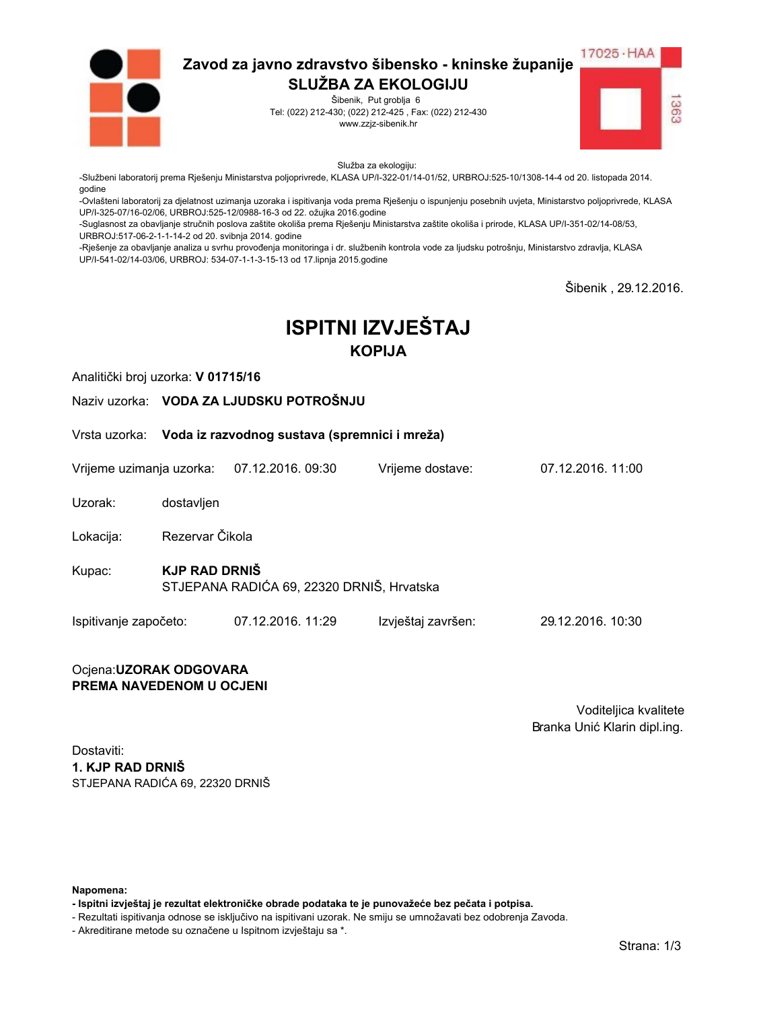

Šibenik, Put groblja 6 Tel: (022) 212-430; (022) 212-425, Fax: (022) 212-430 www.zzjz-sibenik.hr



Služba za ekologiju:

-Službeni laboratorij prema Rješenju Ministarstva poljoprivrede, KLASA UP/I-322-01/14-01/52, URBROJ:525-10/1308-14-4 od 20. listopada 2014. godine

-Ovlašteni laboratorij za djelatnost uzimanja uzoraka i ispitivanja voda prema Rješenju o ispunjenju posebnih uvjeta, Ministarstvo poljoprivrede, KLASA UP/I-325-07/16-02/06. URBROJ:525-12/0988-16-3 od 22. ožujka 2016.godine

-Suglasnost za obavljanje stručnih poslova zaštite okoliša prema Rješenju Ministarstva zaštite okoliša i prirode, KLASA UP/I-351-02/14-08/53, URBROJ:517-06-2-1-1-14-2 od 20. svibnja 2014. godine

-Rješenje za obavljanje analiza u svrhu provođenja monitoringa i dr. službenih kontrola vode za ljudsku potrošnju, Ministarstvo zdravlja, KLASA UP/I-541-02/14-03/06, URBROJ: 534-07-1-1-3-15-13 od 17.lipnja 2015.godine

Šibenik . 29.12.2016.

# **ISPITNI IZVJEŠTAJ KOPIJA**

Analitički broj uzorka: V 01715/16

Naziv uzorka: VODA ZA LJUDSKU POTROŠNJU

Vrsta uzorka: Voda iz razvodnog sustava (spremnici i mreža)

Vrijeme uzimanja uzorka: 07.12.2016. 09:30 Vriieme dostave:

Uzorak: dostavljen

Rezervar Čikola Lokacija:

**KJP RAD DRNIŠ** Kupac: STJEPANA RADIĆA 69, 22320 DRNIŠ, Hrvatska

Ispitivanje započeto: 07.12.2016. 11:29 Izvještaj završen: 29.12.2016. 10:30

#### Ocjena: UZORAK ODGOVARA PREMA NAVEDENOM U OCJENI

Voditeljica kvalitete Branka Unić Klarin dipl.ing.

07 12 2016 11:00

Dostaviti: 1. KJP RAD DRNIŠ STJEPANA RADIĆA 69. 22320 DRNIŠ

Napomena:

- Ispitni izvještaj je rezultat elektroničke obrade podataka te je punovažeće bez pečata i potpisa.

- Rezultati ispitivanja odnose se isključivo na ispitivani uzorak. Ne smiju se umnožavati bez odobrenja Zavoda.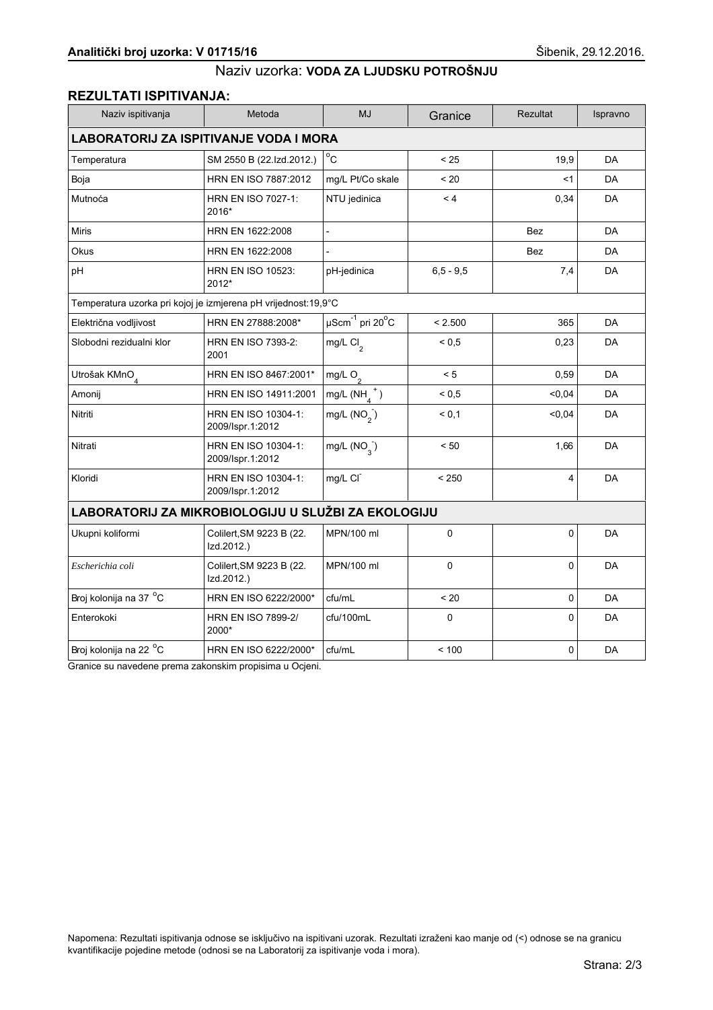#### REZULTATI ISPITIVANJA:

| Naziv ispitivanja                                              | Metoda                                  | <b>MJ</b>                             | Granice      | <b>Rezultat</b> | Ispravno  |  |
|----------------------------------------------------------------|-----------------------------------------|---------------------------------------|--------------|-----------------|-----------|--|
| <b>LABORATORIJ ZA ISPITIVANJE VODA I MORA</b>                  |                                         |                                       |              |                 |           |  |
| Temperatura                                                    | SM 2550 B (22.Izd.2012.)                | $^{\circ}$ C                          | < 25         | 19,9            | DA        |  |
| Boja                                                           | HRN EN ISO 7887:2012                    | mg/L Pt/Co skale                      | < 20         | <1              | <b>DA</b> |  |
| Mutnoća                                                        | HRN EN ISO 7027-1:<br>2016*             | NTU jedinica                          | < 4          | 0,34            | <b>DA</b> |  |
| <b>Miris</b>                                                   | HRN EN 1622:2008                        | $\overline{a}$                        |              | <b>Bez</b>      | <b>DA</b> |  |
| Okus                                                           | HRN EN 1622:2008                        |                                       |              | <b>Bez</b>      | DA        |  |
| pH                                                             | <b>HRN EN ISO 10523:</b><br>2012*       | pH-jedinica                           | $6.5 - 9.5$  | 7,4             | DA        |  |
| Temperatura uzorka pri kojoj je izmjerena pH vrijednost:19,9°C |                                         |                                       |              |                 |           |  |
| Električna vodljivost                                          | HRN EN 27888:2008*                      | $\mu$ Scm $^{-1}$ pri 20 $^{\circ}$ C | < 2.500      | 365             | DA        |  |
| Slobodni rezidualni klor                                       | HRN EN ISO 7393-2:<br>2001              | mg/L Cl <sub>2</sub>                  | ${}^{5}$ 0.5 | 0,23            | <b>DA</b> |  |
| Utrošak KMnO <sub>4</sub>                                      | HRN EN ISO 8467:2001*                   | mg/L $O_2$                            | < 5          | 0,59            | <b>DA</b> |  |
| Amonij                                                         | HRN EN ISO 14911:2001                   | mg/L $(NH_A^+)$                       | ${}^{5}$ 0.5 | < 0,04          | <b>DA</b> |  |
| Nitriti                                                        | HRN EN ISO 10304-1:<br>2009/Ispr.1:2012 | mg/L $(NO2)$                          | < 0.1        | < 0,04          | DA        |  |
| Nitrati                                                        | HRN EN ISO 10304-1:<br>2009/Ispr.1:2012 | mg/L $(NO_{3})$                       | < 50         | 1,66            | DA        |  |
| Kloridi                                                        | HRN EN ISO 10304-1:<br>2009/Ispr.1:2012 | mg/L CI                               | < 250        | 4               | DA        |  |
| LABORATORIJ ZA MIKROBIOLOGIJU U SLUŽBI ZA EKOLOGIJU            |                                         |                                       |              |                 |           |  |
| Ukupni koliformi                                               | Colilert, SM 9223 B (22.<br>Izd.2012.)  | MPN/100 ml                            | 0            | 0               | DA        |  |
| Escherichia coli                                               | Colilert, SM 9223 B (22.<br>Izd.2012.)  | MPN/100 ml                            | 0            | 0               | <b>DA</b> |  |
| Broj kolonija na 37 °C                                         | HRN EN ISO 6222/2000*                   | cfu/mL                                | < 20         | 0               | DA        |  |
| Enterokoki                                                     | <b>HRN EN ISO 7899-2/</b><br>2000*      | cfu/100mL                             | 0            | 0               | DA        |  |
| Broj kolonija na 22 <sup>o</sup> C                             | HRN EN ISO 6222/2000*                   | cfu/mL                                | < 100        | 0               | DA        |  |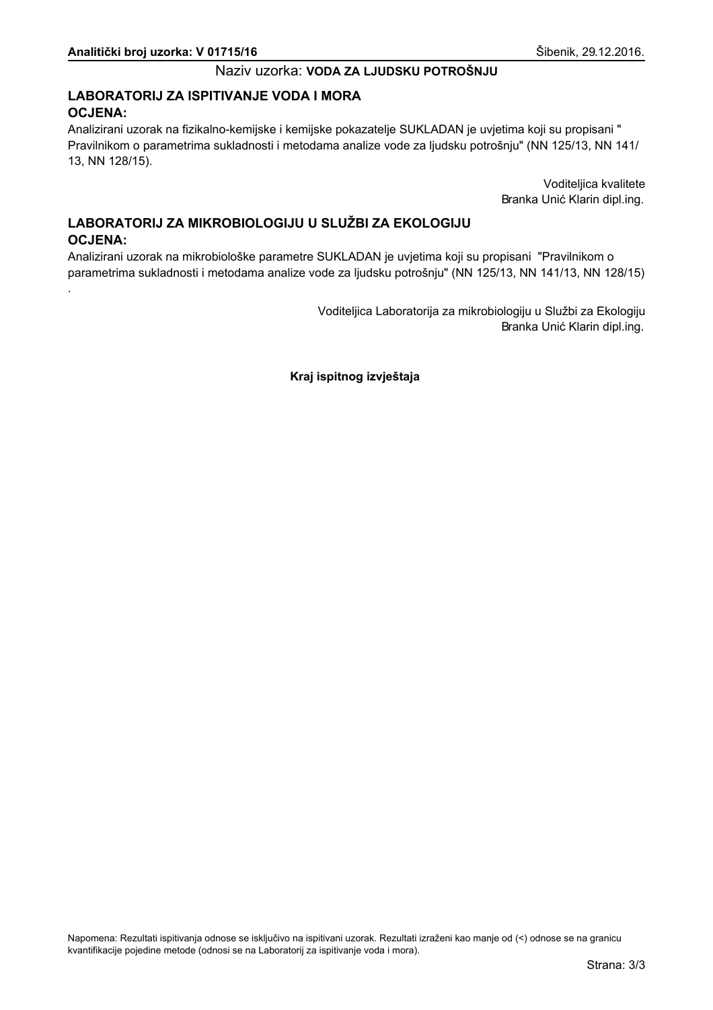# LABORATORIJ ZA ISPITIVANJE VODA I MORA **OCJENA:**

Analizirani uzorak na fizikalno-kemijske i kemijske pokazatelje SUKLADAN je uvjetima koji su propisani " Pravilnikom o parametrima sukladnosti i metodama analize vode za ljudsku potrošnju" (NN 125/13, NN 141/ 13, NN 128/15).

> Voditeljica kvalitete Branka Unić Klarin dipl.ing.

# LABORATORIJ ZA MIKROBIOLOGIJU U SLUŽBI ZA EKOLOGIJU **OCJENA:**

Analizirani uzorak na mikrobiološke parametre SUKLADAN je uvjetima koji su propisani "Pravilnikom o parametrima sukladnosti i metodama analize vode za ljudsku potrošnju" (NN 125/13, NN 141/13, NN 128/15)

> Voditeljica Laboratorija za mikrobiologiju u Službi za Ekologiju Branka Unić Klarin dipl.ing.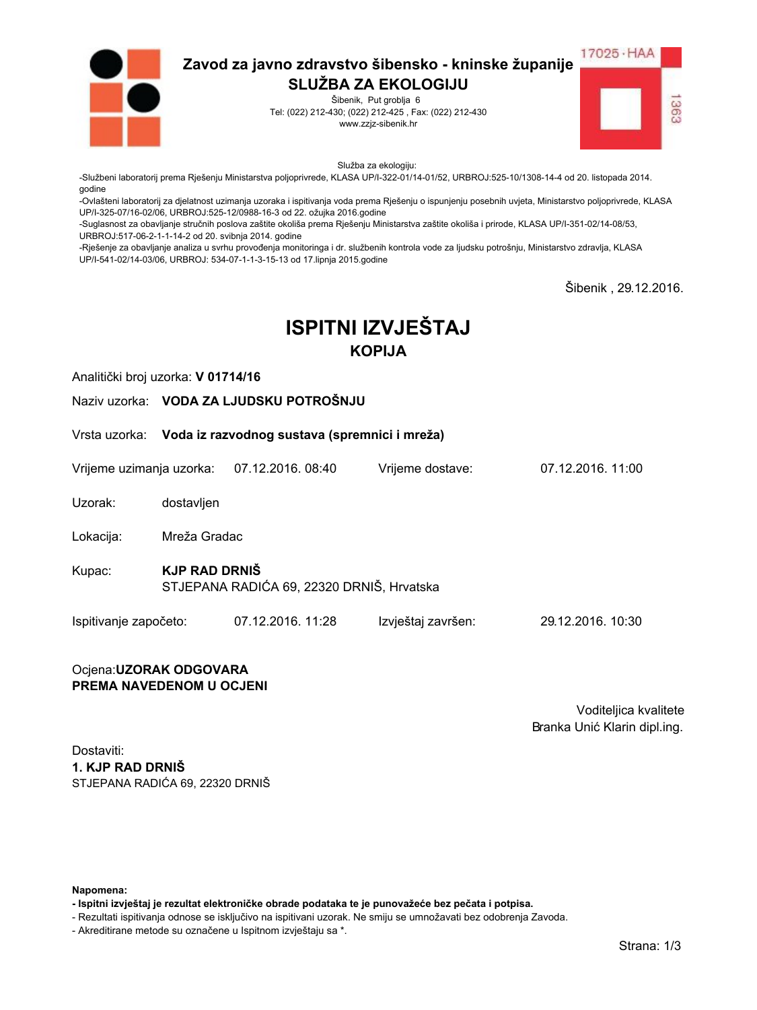

Šibenik, Put groblja 6 Tel: (022) 212-430; (022) 212-425, Fax: (022) 212-430 www.zzjz-sibenik.hr



Služba za ekologiju:

-Službeni laboratorij prema Rješenju Ministarstva poljoprivrede, KLASA UP/I-322-01/14-01/52, URBROJ:525-10/1308-14-4 od 20. listopada 2014. godine

-Ovlašteni laboratorij za djelatnost uzimanja uzoraka i ispitivanja voda prema Rješenju o ispunjenju posebnih uvjeta, Ministarstvo poljoprivrede, KLASA UP/I-325-07/16-02/06. URBROJ:525-12/0988-16-3 od 22. ožujka 2016.godine

-Suglasnost za obavljanje stručnih poslova zaštite okoliša prema Rješenju Ministarstva zaštite okoliša i prirode, KLASA UP/I-351-02/14-08/53, URBROJ:517-06-2-1-1-14-2 od 20. svibnja 2014. godine

-Rješenje za obavljanje analiza u svrhu provođenja monitoringa i dr. službenih kontrola vode za ljudsku potrošnju, Ministarstvo zdravlja, KLASA UP/I-541-02/14-03/06, URBROJ: 534-07-1-1-3-15-13 od 17.lipnja 2015.godine

Šibenik . 29.12.2016.

# **ISPITNI IZVJEŠTAJ KOPIJA**

Analitički broj uzorka: V 01714/16

Naziv uzorka: VODA ZA LJUDSKU POTROŠNJU

Vrsta uzorka: Voda iz razvodnog sustava (spremnici i mreža)

Vrijeme uzimanja uzorka: 07.12.2016, 08:40 Vriieme dostave:

Uzorak: dostavljen

Mreža Gradac Lokacija:

**KJP RAD DRNIŠ** Kupac: STJEPANA RADIĆA 69, 22320 DRNIŠ, Hrvatska

Ispitivanje započeto: 07.12.2016. 11:28 Izvještaj završen: 29.12.2016. 10:30

#### Ocjena: UZORAK ODGOVARA PREMA NAVEDENOM U OCJENI

Voditeljica kvalitete Branka Unić Klarin dipl.ing.

07 12 2016 11:00

Dostaviti: 1. KJP RAD DRNIŠ STJEPANA RADIĆA 69. 22320 DRNIŠ

Napomena:

- Ispitni izvještaj je rezultat elektroničke obrade podataka te je punovažeće bez pečata i potpisa.

- Rezultati ispitivanja odnose se isključivo na ispitivani uzorak. Ne smiju se umnožavati bez odobrenja Zavoda.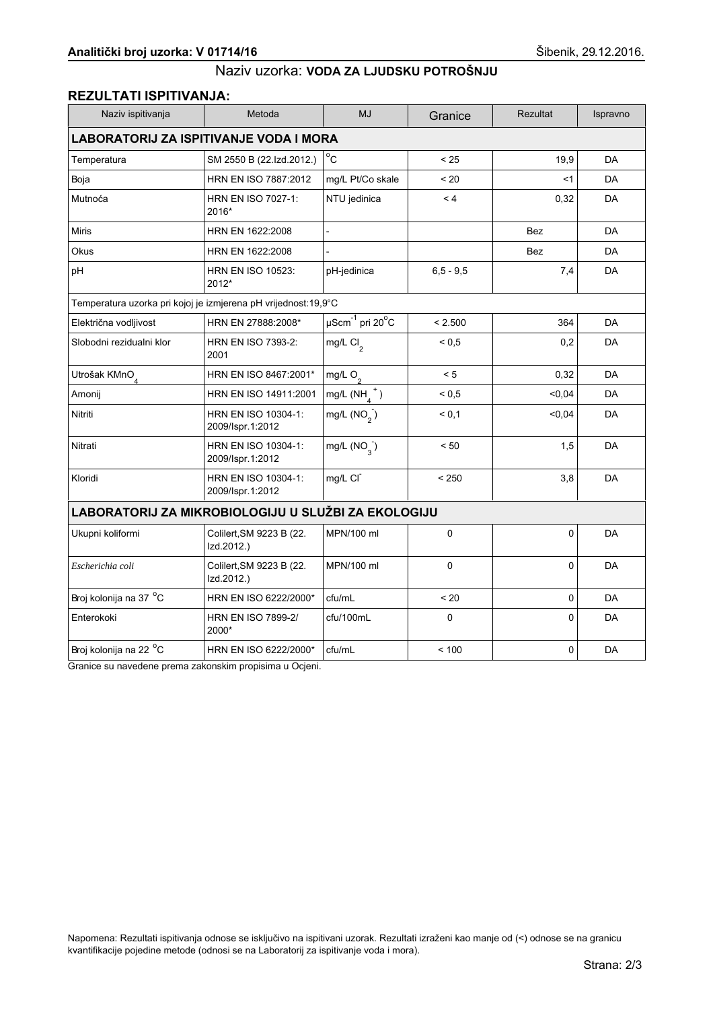# **REZULTATI ISPITIVANJA:**

| Naziv ispitivanja                                              | Metoda                                  | <b>MJ</b>                                | Granice       | <b>Rezultat</b> | Ispravno  |  |
|----------------------------------------------------------------|-----------------------------------------|------------------------------------------|---------------|-----------------|-----------|--|
| <b>LABORATORIJ ZA ISPITIVANJE VODA I MORA</b>                  |                                         |                                          |               |                 |           |  |
| Temperatura                                                    | SM 2550 B (22.Izd.2012.)                | $^{\circ}$ C                             | < 25          | 19,9            | DA        |  |
| Boja                                                           | HRN EN ISO 7887:2012                    | mg/L Pt/Co skale                         | < 20          | <1              | <b>DA</b> |  |
| Mutnoća                                                        | HRN EN ISO 7027-1:<br>2016*             | NTU jedinica                             | < 4           | 0,32            | <b>DA</b> |  |
| <b>Miris</b>                                                   | HRN EN 1622:2008                        | $\blacksquare$                           |               | <b>Bez</b>      | <b>DA</b> |  |
| Okus                                                           | HRN EN 1622:2008                        |                                          |               | Bez             | DA        |  |
| pH                                                             | <b>HRN EN ISO 10523:</b><br>2012*       | pH-jedinica                              | $6, 5 - 9, 5$ | 7,4             | <b>DA</b> |  |
| Temperatura uzorka pri kojoj je izmjerena pH vrijednost:19,9°C |                                         |                                          |               |                 |           |  |
| Električna vodljivost                                          | HRN EN 27888:2008*                      | $\overline{\mu\text{Scm}}^{-1}$ pri 20°C | < 2.500       | 364             | <b>DA</b> |  |
| Slobodni rezidualni klor                                       | <b>HRN EN ISO 7393-2:</b><br>2001       | mg/L Cl <sub>2</sub>                     | ${}_{0.5}$    | 0,2             | DA        |  |
| Utrošak KMnO <sub>4</sub>                                      | HRN EN ISO 8467:2001*                   | mg/L $O_2$                               | < 5           | 0,32            | DA        |  |
| Amonij                                                         | HRN EN ISO 14911:2001                   | mg/L $(NH_A^+)$                          | ${}_{0.5}$    | 0.04            | <b>DA</b> |  |
| Nitriti                                                        | HRN EN ISO 10304-1:<br>2009/Ispr.1:2012 | mg/L $(NO2)$                             | < 0.1         | 0,04            | DA        |  |
| Nitrati                                                        | HRN EN ISO 10304-1:<br>2009/Ispr.1:2012 | mg/L $(NO_{3})$                          | < 50          | 1,5             | DA        |  |
| Kloridi                                                        | HRN EN ISO 10304-1:<br>2009/Ispr.1:2012 | mg/L CI                                  | < 250         | 3,8             | DA        |  |
| LABORATORIJ ZA MIKROBIOLOGIJU U SLUŽBI ZA EKOLOGIJU            |                                         |                                          |               |                 |           |  |
| Ukupni koliformi                                               | Colilert, SM 9223 B (22.<br>Izd.2012.)  | MPN/100 ml                               | 0             | 0               | <b>DA</b> |  |
| Escherichia coli                                               | Colilert, SM 9223 B (22.<br>Izd.2012.)  | MPN/100 ml                               | 0             | 0               | DA        |  |
| Broj kolonija na 37 °C                                         | HRN EN ISO 6222/2000*                   | cfu/mL                                   | < 20          | $\mathbf 0$     | <b>DA</b> |  |
| Enterokoki                                                     | <b>HRN EN ISO 7899-2/</b><br>2000*      | cfu/100mL                                | $\mathbf 0$   | $\Omega$        | DA        |  |
| Broj kolonija na 22 °C                                         | HRN EN ISO 6222/2000*                   | cfu/mL                                   | < 100         | 0               | DA        |  |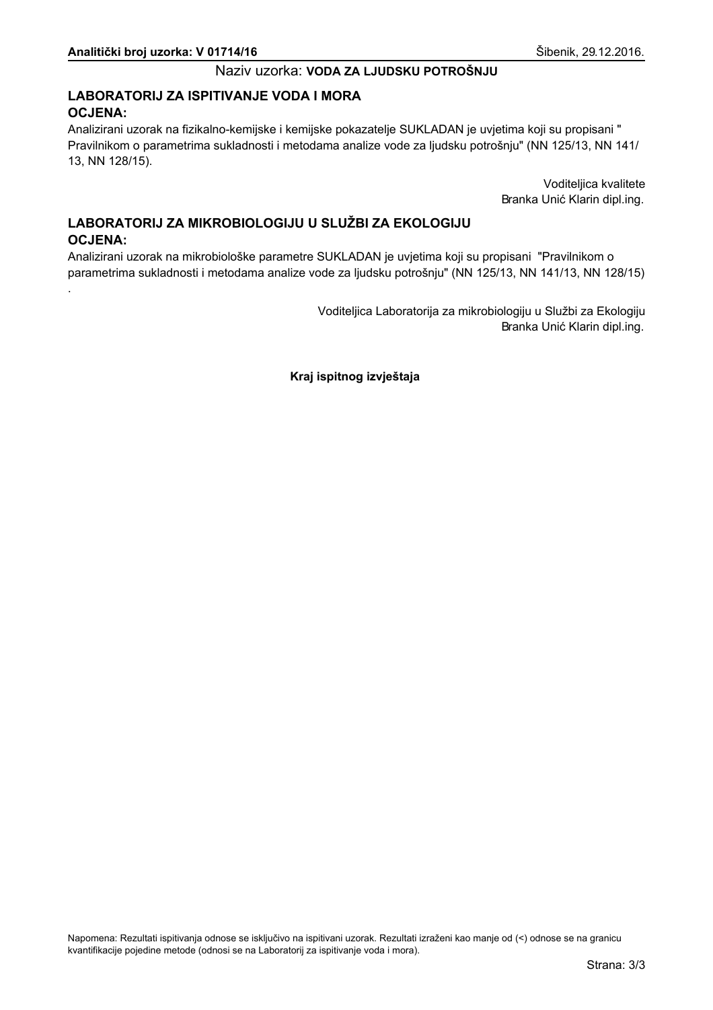# LABORATORIJ ZA ISPITIVANJE VODA I MORA **OCJENA:**

Analizirani uzorak na fizikalno-kemijske i kemijske pokazatelje SUKLADAN je uvjetima koji su propisani " Pravilnikom o parametrima sukladnosti i metodama analize vode za ljudsku potrošnju" (NN 125/13, NN 141/ 13, NN 128/15).

> Voditeljica kvalitete Branka Unić Klarin dipl.ing.

# LABORATORIJ ZA MIKROBIOLOGIJU U SLUŽBI ZA EKOLOGIJU **OCJENA:**

Analizirani uzorak na mikrobiološke parametre SUKLADAN je uvjetima koji su propisani "Pravilnikom o parametrima sukladnosti i metodama analize vode za ljudsku potrošnju" (NN 125/13, NN 141/13, NN 128/15)

> Voditeljica Laboratorija za mikrobiologiju u Službi za Ekologiju Branka Unić Klarin dipl.ing.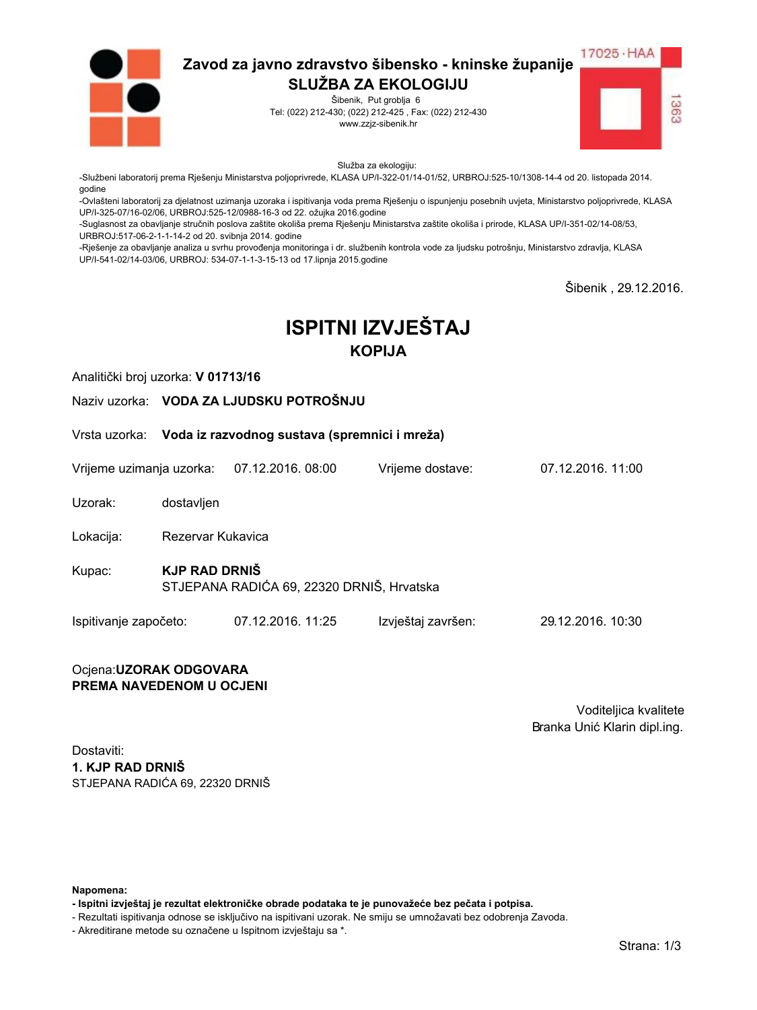

Šibenik, Put groblja 6 Tel: (022) 212-430; (022) 212-425, Fax: (022) 212-430 www.zzjz-sibenik.hr



Služba za ekologiju:

-Službeni laboratorij prema Rješenju Ministarstva poljoprivrede, KLASA UP/I-322-01/14-01/52, URBROJ:525-10/1308-14-4 od 20. listopada 2014. godine

-Ovlašteni laboratorij za djelatnost uzimanja uzoraka i ispitivanja voda prema Rješenju o ispunjenju posebnih uvjeta, Ministarstvo poljoprivrede, KLASA UP/I-325-07/16-02/06. URBROJ:525-12/0988-16-3 od 22. ožujka 2016.godine

-Suglasnost za obavljanje stručnih poslova zaštite okoliša prema Rješenju Ministarstva zaštite okoliša i prirode, KLASA UP/I-351-02/14-08/53, URBROJ:517-06-2-1-1-14-2 od 20. svibnja 2014. godine

-Rješenje za obavljanje analiza u svrhu provođenja monitoringa i dr. službenih kontrola vode za ljudsku potrošnju, Ministarstvo zdravlja, KLASA UP/I-541-02/14-03/06, URBROJ: 534-07-1-1-3-15-13 od 17.lipnja 2015.godine

Šibenik . 29.12.2016.

# **ISPITNI IZVJEŠTAJ KOPIJA**

Analitički broj uzorka: V 01713/16

Naziv uzorka: VODA ZA LJUDSKU POTROŠNJU

Vrsta uzorka: Voda iz razvodnog sustava (spremnici i mreža)

Vrijeme uzimanja uzorka: 07.12.2016.08:00 Vriieme dostave:

Uzorak: dostavljen

Lokacija: Rezervar Kukavica

- **KJP RAD DRNIŠ** Kupac: STJEPANA RADIĆA 69, 22320 DRNIŠ, Hrvatska
- Ispitivanje započeto: 07.12.2016. 11:25 Izvještaj završen: 29.12.2016. 10:30

#### Ocjena: UZORAK ODGOVARA PREMA NAVEDENOM U OCJENI

Voditeljica kvalitete Branka Unić Klarin dipl.ing.

07 12 2016 11:00

Dostaviti: 1. KJP RAD DRNIŠ STJEPANA RADIĆA 69. 22320 DRNIŠ

Napomena:

- Ispitni izvještaj je rezultat elektroničke obrade podataka te je punovažeće bez pečata i potpisa.

- Rezultati ispitivanja odnose se isključivo na ispitivani uzorak. Ne smiju se umnožavati bez odobrenja Zavoda.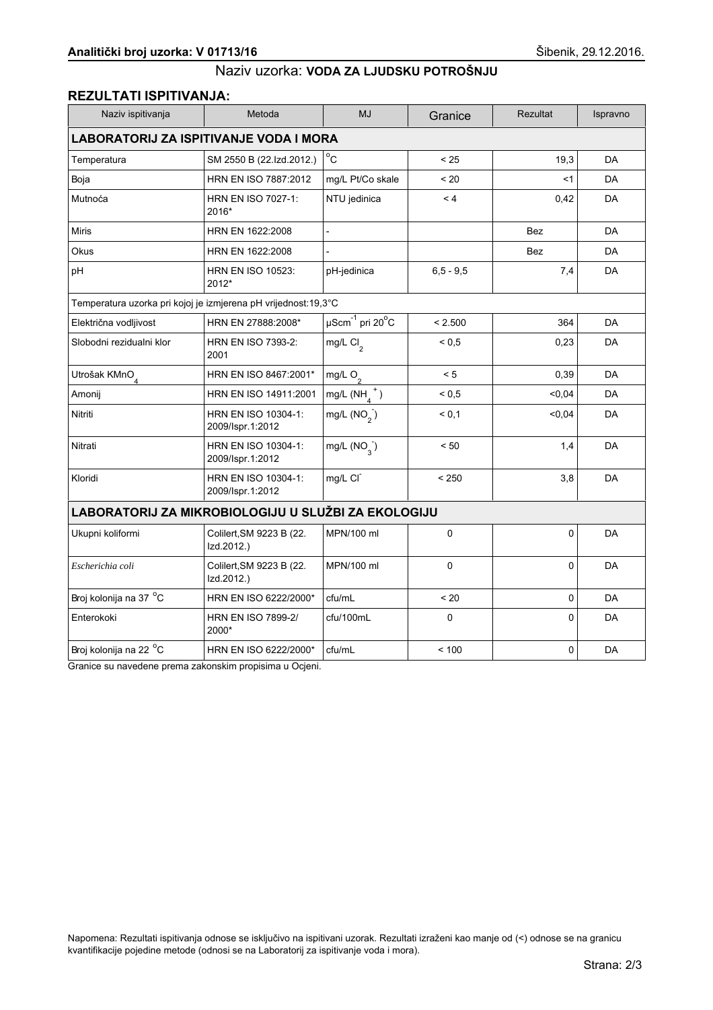#### REZULTATI ISPITIVANJA:

| Naziv ispitivanja                                              | Metoda                                  | <b>MJ</b>                             | Granice      | <b>Rezultat</b> | Ispravno  |  |
|----------------------------------------------------------------|-----------------------------------------|---------------------------------------|--------------|-----------------|-----------|--|
| <b>LABORATORIJ ZA ISPITIVANJE VODA I MORA</b>                  |                                         |                                       |              |                 |           |  |
| Temperatura                                                    | SM 2550 B (22.Izd.2012.)                | $^{\circ}$ C                          | < 25         | 19,3            | DA        |  |
| Boja                                                           | HRN EN ISO 7887:2012                    | mg/L Pt/Co skale                      | < 20         | $<$ 1           | <b>DA</b> |  |
| Mutnoća                                                        | <b>HRN EN ISO 7027-1:</b><br>2016*      | NTU jedinica                          | < 4          | 0,42            | <b>DA</b> |  |
| <b>Miris</b>                                                   | HRN EN 1622:2008                        | $\overline{a}$                        |              | <b>Bez</b>      | DA        |  |
| Okus                                                           | HRN EN 1622:2008                        |                                       |              | Bez             | DA        |  |
| pH                                                             | <b>HRN EN ISO 10523:</b><br>2012*       | pH-jedinica                           | $6.5 - 9.5$  | 7,4             | DA        |  |
| Temperatura uzorka pri kojoj je izmjerena pH vrijednost:19,3°C |                                         |                                       |              |                 |           |  |
| Električna vodljivost                                          | HRN EN 27888:2008*                      | $\mu$ Scm $^{-1}$ pri 20 $^{\circ}$ C | < 2.500      | 364             | DA        |  |
| Slobodni rezidualni klor                                       | <b>HRN EN ISO 7393-2:</b><br>2001       | mg/L Cl <sub>2</sub>                  | ${}^{5}$ 0.5 | 0,23            | DA        |  |
| Utrošak KMnO <sub>4</sub>                                      | HRN EN ISO 8467:2001*                   | mg/L $O_2$                            | < 5          | 0,39            | <b>DA</b> |  |
| Amonij                                                         | HRN EN ISO 14911:2001                   | mg/L $(NH_A^+)$                       | ${}^{5}$ 0.5 | <0,04           | DA        |  |
| Nitriti                                                        | HRN EN ISO 10304-1:<br>2009/Ispr.1:2012 | mg/L $(NO2)$                          | < 0,1        | < 0.04          | DA        |  |
| Nitrati                                                        | HRN EN ISO 10304-1:<br>2009/Ispr.1:2012 | mg/L $(NO_3)$                         | < 50         | 1,4             | DA        |  |
| Kloridi                                                        | HRN EN ISO 10304-1:<br>2009/Ispr.1:2012 | mg/L CI                               | < 250        | 3,8             | <b>DA</b> |  |
| LABORATORIJ ZA MIKROBIOLOGIJU U SLUŽBI ZA EKOLOGIJU            |                                         |                                       |              |                 |           |  |
| Ukupni koliformi                                               | Colilert, SM 9223 B (22.<br>Izd.2012.)  | MPN/100 ml                            | 0            | 0               | DA        |  |
| Escherichia coli                                               | Colilert, SM 9223 B (22.<br>Izd.2012.)  | MPN/100 ml                            | $\mathbf 0$  | 0               | DA        |  |
| Broj kolonija na 37 °C                                         | HRN EN ISO 6222/2000*                   | cfu/mL                                | < 20         | $\mathbf 0$     | <b>DA</b> |  |
| Enterokoki                                                     | <b>HRN EN ISO 7899-2/</b><br>2000*      | cfu/100mL                             | $\Omega$     | $\Omega$        | DA        |  |
| Broj kolonija na 22 <sup>o</sup> C                             | HRN EN ISO 6222/2000*                   | cfu/mL                                | < 100        | 0               | DA        |  |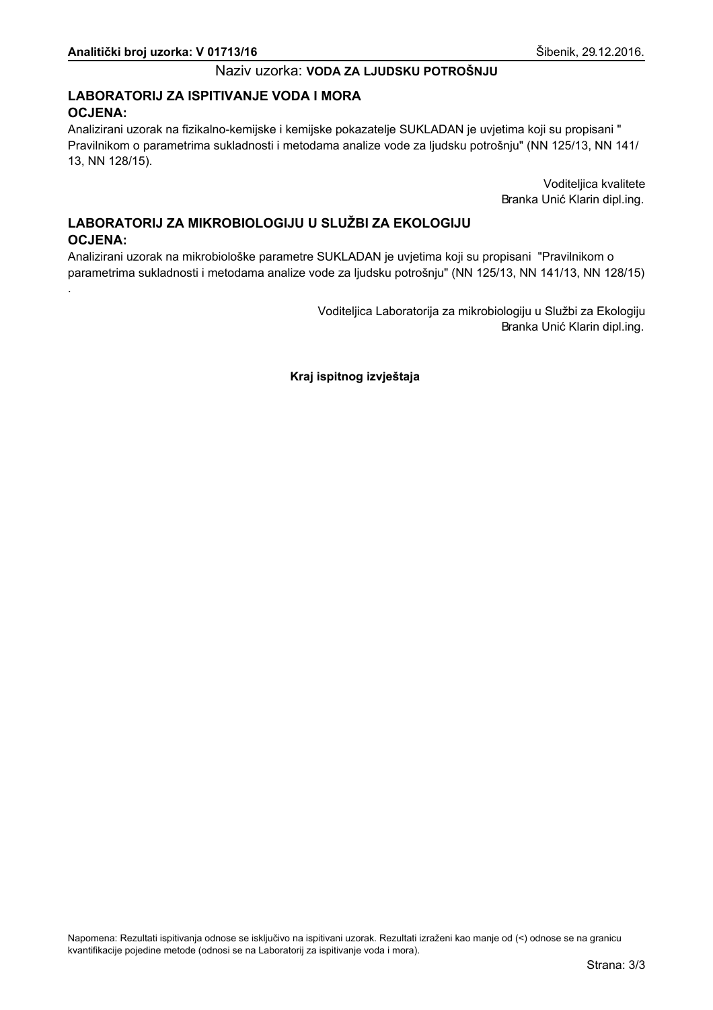# LABORATORIJ ZA ISPITIVANJE VODA I MORA **OCJENA:**

Analizirani uzorak na fizikalno-kemijske i kemijske pokazatelje SUKLADAN je uvjetima koji su propisani " Pravilnikom o parametrima sukladnosti i metodama analize vode za ljudsku potrošnju" (NN 125/13, NN 141/ 13, NN 128/15).

> Voditeljica kvalitete Branka Unić Klarin dipl.ing.

# LABORATORIJ ZA MIKROBIOLOGIJU U SLUŽBI ZA EKOLOGIJU **OCJENA:**

Analizirani uzorak na mikrobiološke parametre SUKLADAN je uvjetima koji su propisani "Pravilnikom o parametrima sukladnosti i metodama analize vode za ljudsku potrošnju" (NN 125/13, NN 141/13, NN 128/15)

> Voditeljica Laboratorija za mikrobiologiju u Službi za Ekologiju Branka Unić Klarin dipl.ing.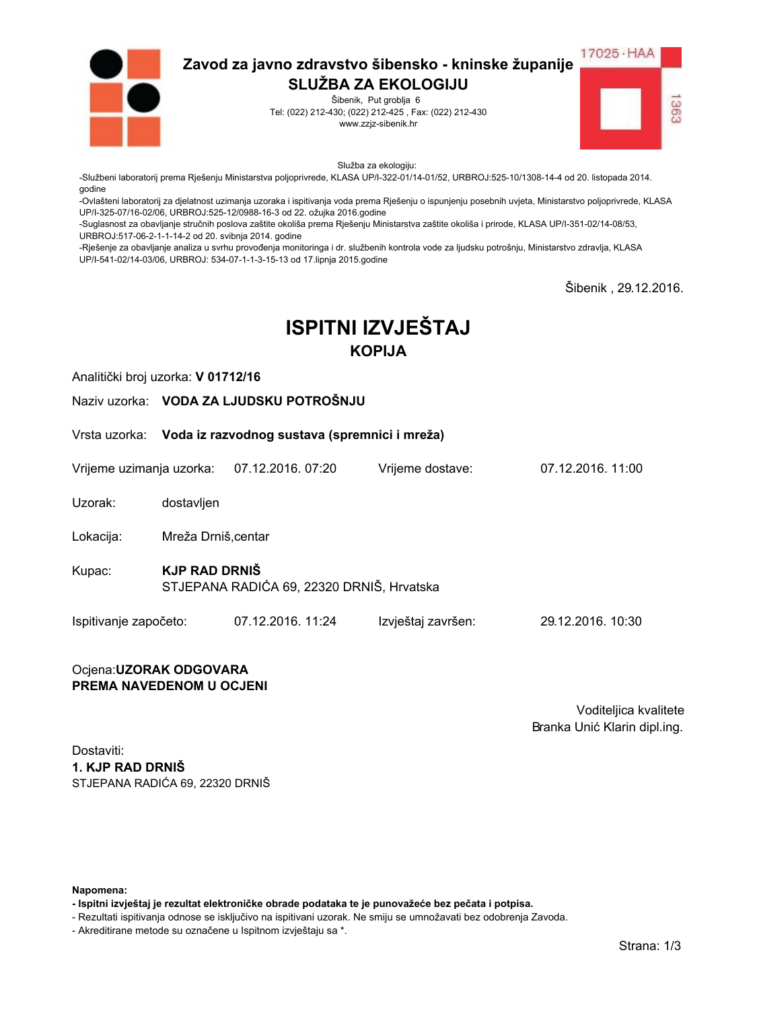

Šibenik, Put groblja 6 Tel: (022) 212-430; (022) 212-425, Fax: (022) 212-430 www.zzjz-sibenik.hr



Služba za ekologiju:

-Službeni laboratorij prema Rješenju Ministarstva poljoprivrede, KLASA UP/I-322-01/14-01/52, URBROJ:525-10/1308-14-4 od 20. listopada 2014. godine

-Ovlašteni laboratorij za djelatnost uzimanja uzoraka i ispitivanja voda prema Rješenju o ispunjenju posebnih uvjeta, Ministarstvo poljoprivrede, KLASA UP/I-325-07/16-02/06. URBROJ:525-12/0988-16-3 od 22. ožujka 2016.godine

-Suglasnost za obavljanje stručnih poslova zaštite okoliša prema Rješenju Ministarstva zaštite okoliša i prirode, KLASA UP/I-351-02/14-08/53, URBROJ:517-06-2-1-1-14-2 od 20. svibnja 2014. godine

-Rješenje za obavljanje analiza u svrhu provođenja monitoringa i dr. službenih kontrola vode za ljudsku potrošnju, Ministarstvo zdravlja, KLASA UP/I-541-02/14-03/06, URBROJ: 534-07-1-1-3-15-13 od 17.lipnja 2015.godine

Šibenik . 29.12.2016.

# **ISPITNI IZVJEŠTAJ KOPIJA**

Analitički broj uzorka: V 01712/16

Naziv uzorka: VODA ZA LJUDSKU POTROŠNJU

Vrsta uzorka: Voda iz razvodnog sustava (spremnici i mreža)

Vrijeme uzimanja uzorka: 07.12.2016. 07:20 Vriieme dostave:

Uzorak: dostavljen

Lokacija: Mreža Drniš.centar

- **KJP RAD DRNIŠ** Kupac: STJEPANA RADIĆA 69, 22320 DRNIŠ, Hrvatska
- Ispitivanje započeto: 07.12.2016. 11:24 Izvještaj završen: 29.12.2016. 10:30

#### Ocjena: UZORAK ODGOVARA PREMA NAVEDENOM U OCJENI

Voditeljica kvalitete Branka Unić Klarin dipl.ing.

07 12 2016 11:00

Dostaviti: 1. KJP RAD DRNIŠ STJEPANA RADIĆA 69. 22320 DRNIŠ

Napomena:

- Ispitni izvještaj je rezultat elektroničke obrade podataka te je punovažeće bez pečata i potpisa.

- Rezultati ispitivanja odnose se isključivo na ispitivani uzorak. Ne smiju se umnožavati bez odobrenja Zavoda.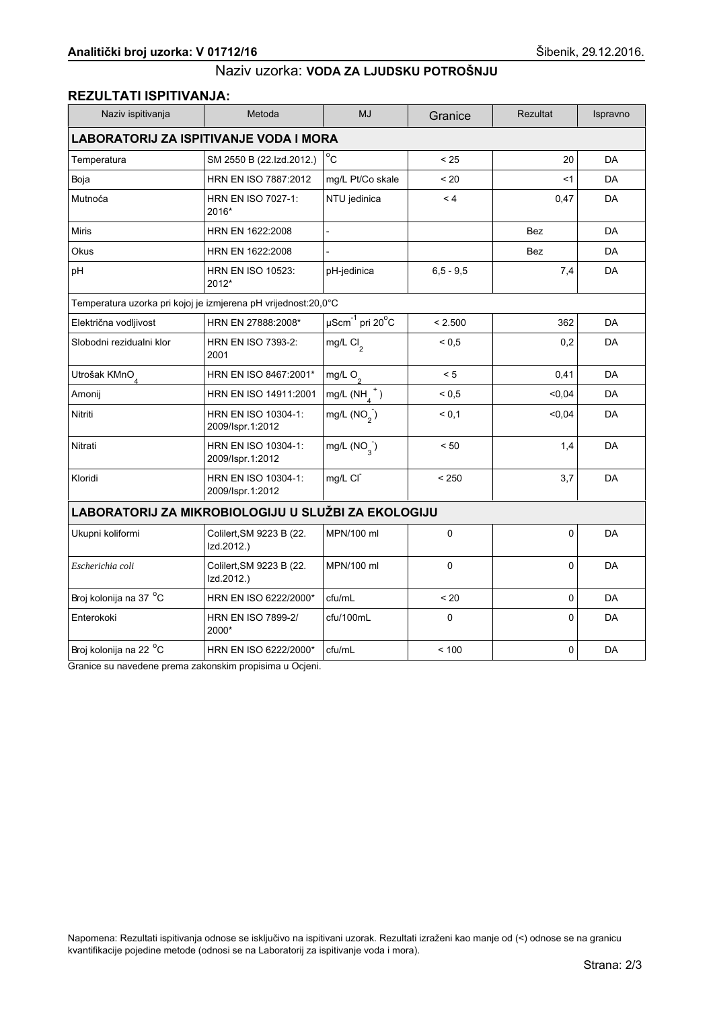## **REZULTATI ISPITIVANJA:**

| Naziv ispitivanja                                              | Metoda                                  | <b>MJ</b>                                | Granice       | <b>Rezultat</b> | Ispravno  |  |
|----------------------------------------------------------------|-----------------------------------------|------------------------------------------|---------------|-----------------|-----------|--|
| <b>LABORATORIJ ZA ISPITIVANJE VODA I MORA</b>                  |                                         |                                          |               |                 |           |  |
| Temperatura                                                    | SM 2550 B (22.Izd.2012.)                | $^{\circ}$ C                             | < 25          | 20              | DA        |  |
| Boja                                                           | HRN EN ISO 7887:2012                    | mg/L Pt/Co skale                         | < 20          | <1              | <b>DA</b> |  |
| Mutnoća                                                        | HRN EN ISO 7027-1:<br>2016*             | NTU jedinica                             | < 4           | 0,47            | <b>DA</b> |  |
| <b>Miris</b>                                                   | HRN EN 1622:2008                        | $\blacksquare$                           |               | <b>Bez</b>      | <b>DA</b> |  |
| Okus                                                           | HRN EN 1622:2008                        |                                          |               | Bez             | DA        |  |
| pH                                                             | <b>HRN EN ISO 10523:</b><br>2012*       | pH-jedinica                              | $6, 5 - 9, 5$ | 7,4             | <b>DA</b> |  |
| Temperatura uzorka pri kojoj je izmjerena pH vrijednost:20,0°C |                                         |                                          |               |                 |           |  |
| Električna vodljivost                                          | HRN EN 27888:2008*                      | $\overline{\mu\text{Scm}}^{-1}$ pri 20°C | < 2.500       | 362             | <b>DA</b> |  |
| Slobodni rezidualni klor                                       | <b>HRN EN ISO 7393-2:</b><br>2001       | mg/L Cl <sub>2</sub>                     | ${}_{0.5}$    | 0,2             | DA        |  |
| Utrošak KMnO <sub>4</sub>                                      | HRN EN ISO 8467:2001*                   | mg/L $O_2$                               | < 5           | 0,41            | DA        |  |
| Amonij                                                         | HRN EN ISO 14911:2001                   | mg/L $(NH_A^+)$                          | ${}_{0.5}$    | 0.04            | <b>DA</b> |  |
| Nitriti                                                        | HRN EN ISO 10304-1:<br>2009/Ispr.1:2012 | mg/L $(NO2)$                             | < 0.1         | 0,04            | DA        |  |
| Nitrati                                                        | HRN EN ISO 10304-1:<br>2009/Ispr.1:2012 | mg/L $(NO_3^-)$                          | < 50          | 1,4             | DA        |  |
| Kloridi                                                        | HRN EN ISO 10304-1:<br>2009/Ispr.1:2012 | mg/L CI                                  | < 250         | 3,7             | DA        |  |
| LABORATORIJ ZA MIKROBIOLOGIJU U SLUŽBI ZA EKOLOGIJU            |                                         |                                          |               |                 |           |  |
| Ukupni koliformi                                               | Colilert, SM 9223 B (22.<br>Izd.2012.)  | MPN/100 ml                               | 0             | 0               | <b>DA</b> |  |
| Escherichia coli                                               | Colilert, SM 9223 B (22.<br>Izd.2012.)  | MPN/100 ml                               | 0             | 0               | DA        |  |
| Broj kolonija na 37 °C                                         | HRN EN ISO 6222/2000*                   | cfu/mL                                   | $~<$ 20       | $\mathbf 0$     | <b>DA</b> |  |
| Enterokoki                                                     | <b>HRN EN ISO 7899-2/</b><br>2000*      | cfu/100mL                                | $\mathbf 0$   | $\Omega$        | DA        |  |
| Broj kolonija na 22 °C                                         | HRN EN ISO 6222/2000*                   | cfu/mL                                   | < 100         | 0               | DA        |  |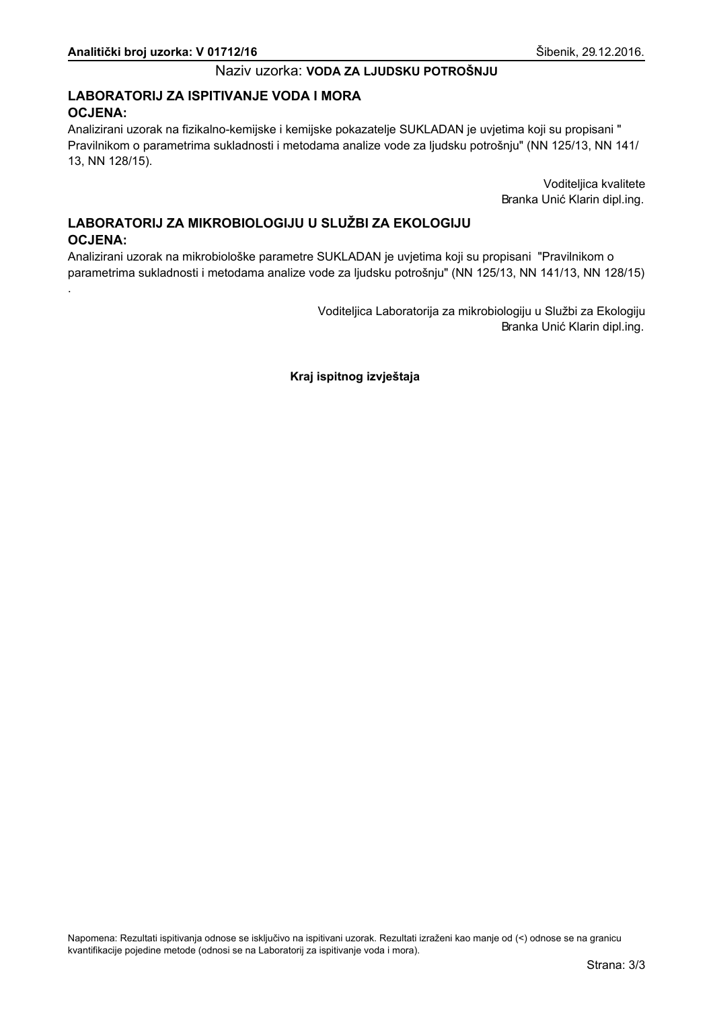# LABORATORIJ ZA ISPITIVANJE VODA I MORA **OCJENA:**

Analizirani uzorak na fizikalno-kemijske i kemijske pokazatelje SUKLADAN je uvjetima koji su propisani " Pravilnikom o parametrima sukladnosti i metodama analize vode za ljudsku potrošnju" (NN 125/13, NN 141/ 13, NN 128/15).

> Voditeljica kvalitete Branka Unić Klarin dipl.ing.

# LABORATORIJ ZA MIKROBIOLOGIJU U SLUŽBI ZA EKOLOGIJU **OCJENA:**

Analizirani uzorak na mikrobiološke parametre SUKLADAN je uvjetima koji su propisani "Pravilnikom o parametrima sukladnosti i metodama analize vode za ljudsku potrošnju" (NN 125/13, NN 141/13, NN 128/15)

> Voditeljica Laboratorija za mikrobiologiju u Službi za Ekologiju Branka Unić Klarin dipl.ing.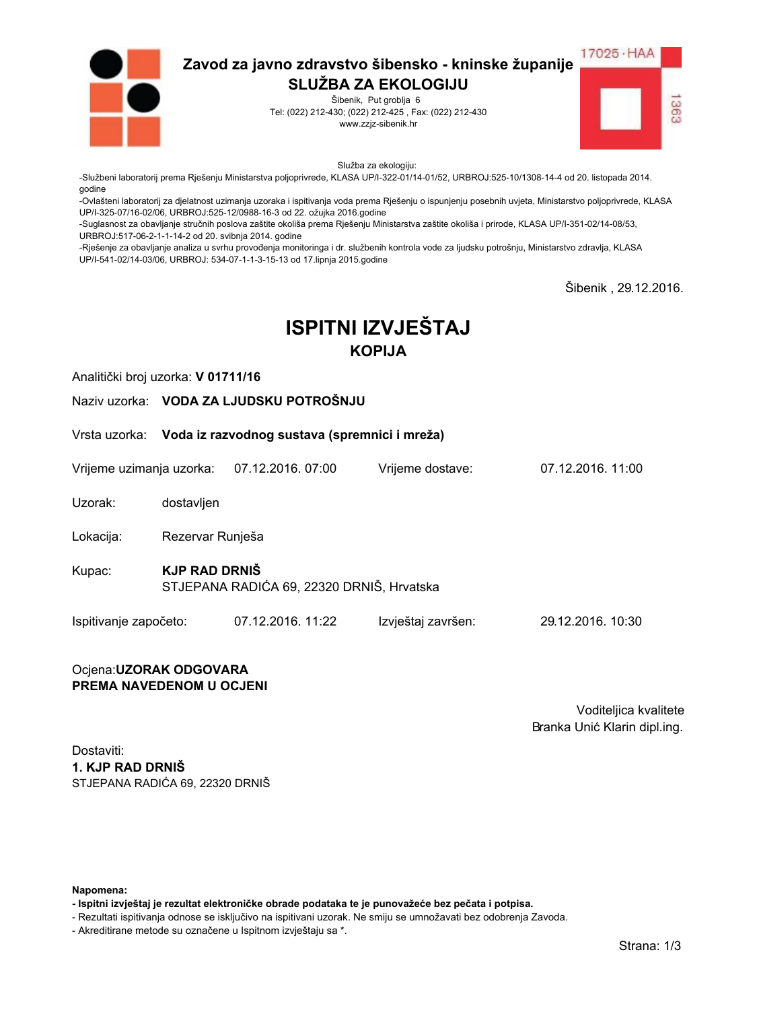

Šibenik, Put groblja 6 Tel: (022) 212-430; (022) 212-425, Fax: (022) 212-430 www.zzjz-sibenik.hr



Služba za ekologiju:

-Službeni laboratorij prema Rješenju Ministarstva poljoprivrede, KLASA UP/I-322-01/14-01/52, URBROJ:525-10/1308-14-4 od 20. listopada 2014. godine

-Ovlašteni laboratorij za djelatnost uzimanja uzoraka i ispitivanja voda prema Rješenju o ispunjenju posebnih uvjeta, Ministarstvo poljoprivrede, KLASA UP/I-325-07/16-02/06. URBROJ:525-12/0988-16-3 od 22. ožujka 2016.godine

-Suglasnost za obavljanje stručnih poslova zaštite okoliša prema Rješenju Ministarstva zaštite okoliša i prirode, KLASA UP/I-351-02/14-08/53, URBROJ:517-06-2-1-1-14-2 od 20. svibnja 2014. godine

-Rješenje za obavljanje analiza u svrhu provođenja monitoringa i dr. službenih kontrola vode za ljudsku potrošnju, Ministarstvo zdravlja, KLASA UP/I-541-02/14-03/06, URBROJ: 534-07-1-1-3-15-13 od 17.lipnja 2015.godine

Šibenik . 29.12.2016.

# **ISPITNI IZVJEŠTAJ KOPIJA**

Analitički broj uzorka: V 01711/16

Naziv uzorka: VODA ZA LJUDSKU POTROŠNJU

Vrsta uzorka: Voda iz razvodnog sustava (spremnici i mreža)

Vrijeme uzimanja uzorka: 07.12.2016. 07:00 Vriieme dostave:

Uzorak: dostavljen

Lokacija: Rezervar Runješa

**KJP RAD DRNIŠ** Kupac: STJEPANA RADIĆA 69, 22320 DRNIŠ, Hrvatska

Ispitivanje započeto: 07.12.2016. 11:22 Izvještaj završen: 29.12.2016. 10:30

#### Ocjena: UZORAK ODGOVARA PREMA NAVEDENOM U OCJENI

Voditeljica kvalitete Branka Unić Klarin dipl.ing.

07 12 2016 11:00

Dostaviti: 1. KJP RAD DRNIŠ STJEPANA RADIĆA 69. 22320 DRNIŠ

Napomena:

- Ispitni izvještaj je rezultat elektroničke obrade podataka te je punovažeće bez pečata i potpisa.

- Rezultati ispitivanja odnose se isključivo na ispitivani uzorak. Ne smiju se umnožavati bez odobrenja Zavoda.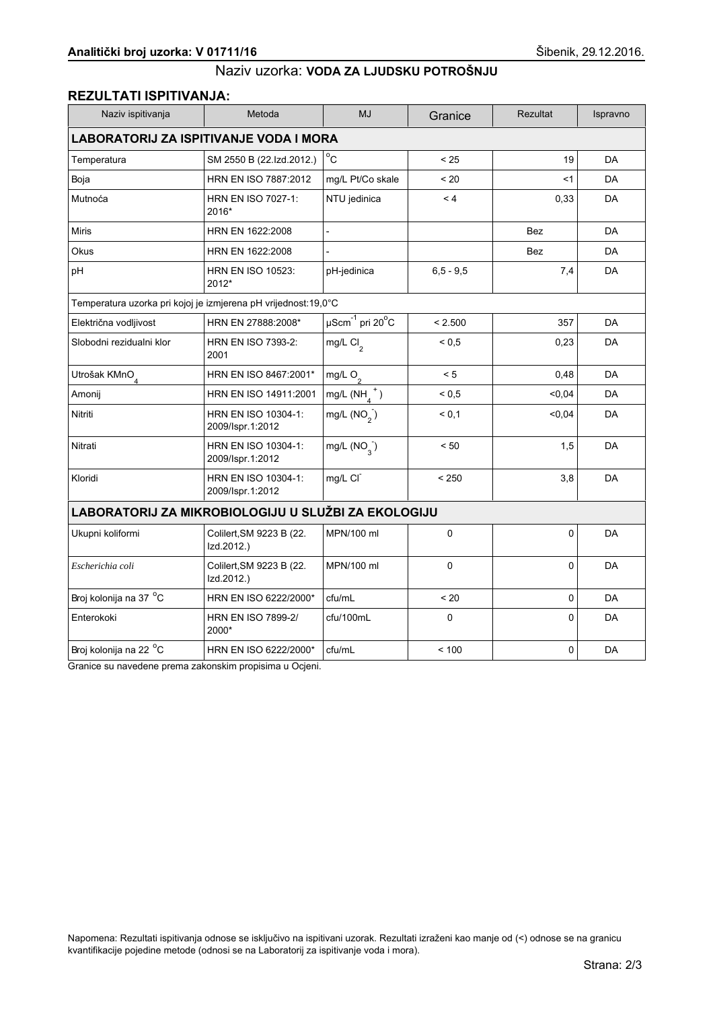# **REZULTATI ISPITIVANJA:**

| Naziv ispitivanja                                              | Metoda                                  | <b>MJ</b>                             | Granice       | Rezultat   | Ispravno  |  |
|----------------------------------------------------------------|-----------------------------------------|---------------------------------------|---------------|------------|-----------|--|
| <b>LABORATORIJ ZA ISPITIVANJE VODA I MORA</b>                  |                                         |                                       |               |            |           |  |
| Temperatura                                                    | SM 2550 B (22.Izd.2012.)                | $^{\circ}$ C                          | < 25          | 19         | <b>DA</b> |  |
| Boja                                                           | HRN EN ISO 7887:2012                    | mg/L Pt/Co skale                      | < 20          | <1         | DA        |  |
| Mutnoća                                                        | <b>HRN EN ISO 7027-1:</b><br>2016*      | NTU jedinica                          | < 4           | 0,33       | DA        |  |
| Miris                                                          | HRN EN 1622:2008                        | $\overline{a}$                        |               | <b>Bez</b> | DA        |  |
| Okus                                                           | HRN EN 1622:2008                        |                                       |               | Bez        | DA        |  |
| pH                                                             | <b>HRN EN ISO 10523:</b><br>2012*       | pH-jedinica                           | $6, 5 - 9, 5$ | 7,4        | DA        |  |
| Temperatura uzorka pri kojoj je izmjerena pH vrijednost:19,0°C |                                         |                                       |               |            |           |  |
| Električna vodljivost                                          | HRN EN 27888:2008*                      | $\mu$ Scm $^{-1}$ pri 20 $^{\circ}$ C | < 2.500       | 357        | DA        |  |
| Slobodni rezidualni klor                                       | <b>HRN EN ISO 7393-2:</b><br>2001       | mg/L Cl <sub>2</sub>                  | ${}_{0.5}$    | 0,23       | DA        |  |
| Utrošak KMnO <sub>4</sub>                                      | HRN EN ISO 8467:2001*                   | mg/L O <sub>2</sub>                   | < 5           | 0,48       | DA        |  |
| Amonij                                                         | HRN EN ISO 14911:2001                   | $mg/L(NH_4^+)$                        | ${}_{0.5}$    | < 0.04     | DA        |  |
| Nitriti                                                        | HRN EN ISO 10304-1:<br>2009/Ispr.1:2012 | mg/L $(NO2)$                          | < 0,1         | < 0,04     | DA        |  |
| Nitrati                                                        | HRN EN ISO 10304-1:<br>2009/Ispr.1:2012 | mg/L $(NO_2)$                         | < 50          | 1,5        | DA        |  |
| Kloridi                                                        | HRN EN ISO 10304-1:<br>2009/Ispr.1:2012 | mg/L CI                               | < 250         | 3,8        | DA        |  |
| LABORATORIJ ZA MIKROBIOLOGIJU U SLUŽBI ZA EKOLOGIJU            |                                         |                                       |               |            |           |  |
| Ukupni koliformi                                               | Colilert, SM 9223 B (22.<br>Izd.2012.)  | MPN/100 ml                            | 0             | $\Omega$   | DA        |  |
| Escherichia coli                                               | Colilert, SM 9223 B (22.<br>Izd.2012.)  | MPN/100 ml                            | 0             | 0          | DA        |  |
| Broj kolonija na 37 °C                                         | HRN EN ISO 6222/2000*                   | cfu/mL                                | < 20          | 0          | DA        |  |
| Enterokoki                                                     | <b>HRN EN ISO 7899-2/</b><br>2000*      | cfu/100mL                             | $\mathbf 0$   | $\Omega$   | DA        |  |
| Broj kolonija na 22 °C                                         | HRN EN ISO 6222/2000*                   | cfu/mL                                | < 100         | 0          | DA        |  |